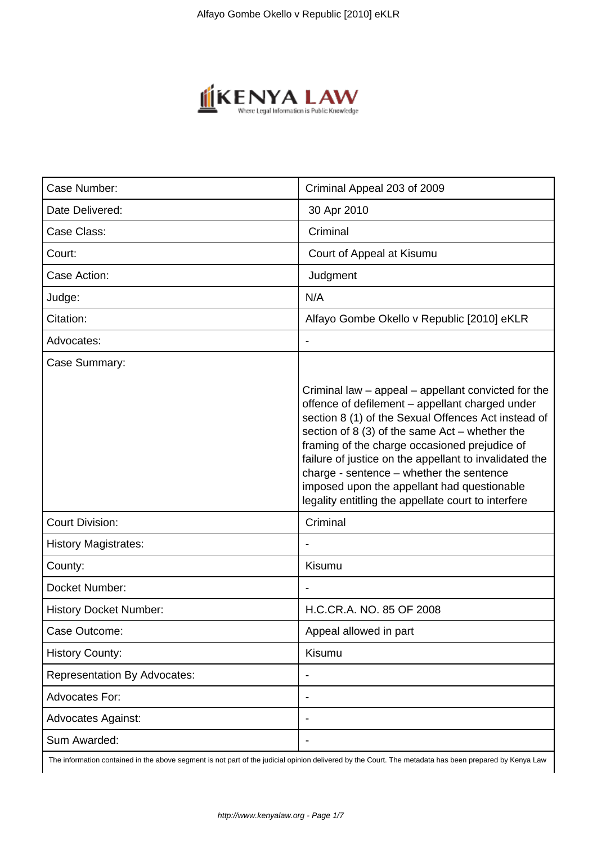

| Case Number:                        | Criminal Appeal 203 of 2009                                                                                                                                                                                                                                                                                                                                                                                                                                                    |
|-------------------------------------|--------------------------------------------------------------------------------------------------------------------------------------------------------------------------------------------------------------------------------------------------------------------------------------------------------------------------------------------------------------------------------------------------------------------------------------------------------------------------------|
| Date Delivered:                     | 30 Apr 2010                                                                                                                                                                                                                                                                                                                                                                                                                                                                    |
| Case Class:                         | Criminal                                                                                                                                                                                                                                                                                                                                                                                                                                                                       |
| Court:                              | Court of Appeal at Kisumu                                                                                                                                                                                                                                                                                                                                                                                                                                                      |
| Case Action:                        | Judgment                                                                                                                                                                                                                                                                                                                                                                                                                                                                       |
| Judge:                              | N/A                                                                                                                                                                                                                                                                                                                                                                                                                                                                            |
| Citation:                           | Alfayo Gombe Okello v Republic [2010] eKLR                                                                                                                                                                                                                                                                                                                                                                                                                                     |
| Advocates:                          |                                                                                                                                                                                                                                                                                                                                                                                                                                                                                |
| Case Summary:                       |                                                                                                                                                                                                                                                                                                                                                                                                                                                                                |
|                                     | Criminal law - appeal - appellant convicted for the<br>offence of defilement - appellant charged under<br>section 8 (1) of the Sexual Offences Act instead of<br>section of 8 (3) of the same $Act$ – whether the<br>framing of the charge occasioned prejudice of<br>failure of justice on the appellant to invalidated the<br>charge - sentence - whether the sentence<br>imposed upon the appellant had questionable<br>legality entitling the appellate court to interfere |
| <b>Court Division:</b>              | Criminal                                                                                                                                                                                                                                                                                                                                                                                                                                                                       |
| <b>History Magistrates:</b>         |                                                                                                                                                                                                                                                                                                                                                                                                                                                                                |
| County:                             | Kisumu                                                                                                                                                                                                                                                                                                                                                                                                                                                                         |
| Docket Number:                      |                                                                                                                                                                                                                                                                                                                                                                                                                                                                                |
| <b>History Docket Number:</b>       | H.C.CR.A. NO. 85 OF 2008                                                                                                                                                                                                                                                                                                                                                                                                                                                       |
| Case Outcome:                       | Appeal allowed in part                                                                                                                                                                                                                                                                                                                                                                                                                                                         |
| <b>History County:</b>              | Kisumu                                                                                                                                                                                                                                                                                                                                                                                                                                                                         |
| <b>Representation By Advocates:</b> |                                                                                                                                                                                                                                                                                                                                                                                                                                                                                |
| <b>Advocates For:</b>               |                                                                                                                                                                                                                                                                                                                                                                                                                                                                                |
| <b>Advocates Against:</b>           |                                                                                                                                                                                                                                                                                                                                                                                                                                                                                |
| Sum Awarded:                        |                                                                                                                                                                                                                                                                                                                                                                                                                                                                                |

The information contained in the above segment is not part of the judicial opinion delivered by the Court. The metadata has been prepared by Kenya Law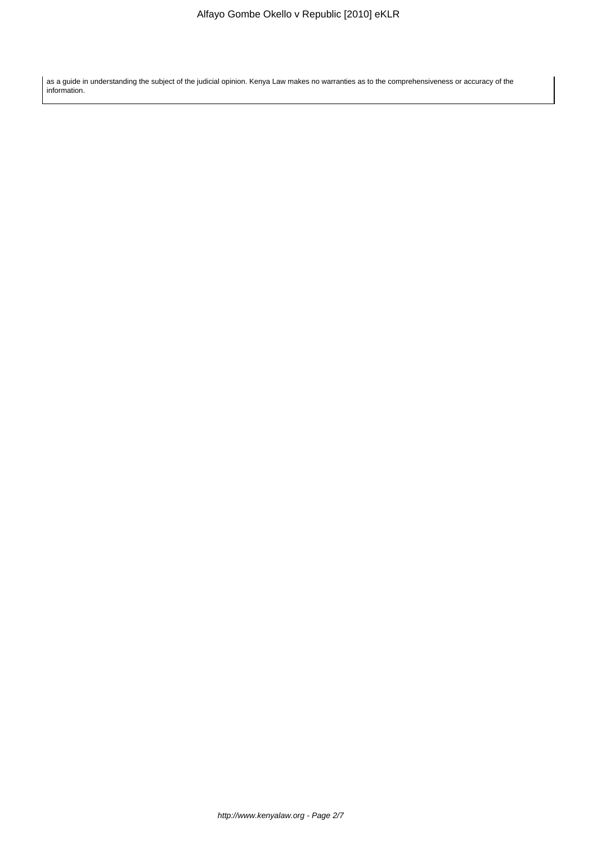as a guide in understanding the subject of the judicial opinion. Kenya Law makes no warranties as to the comprehensiveness or accuracy of the information.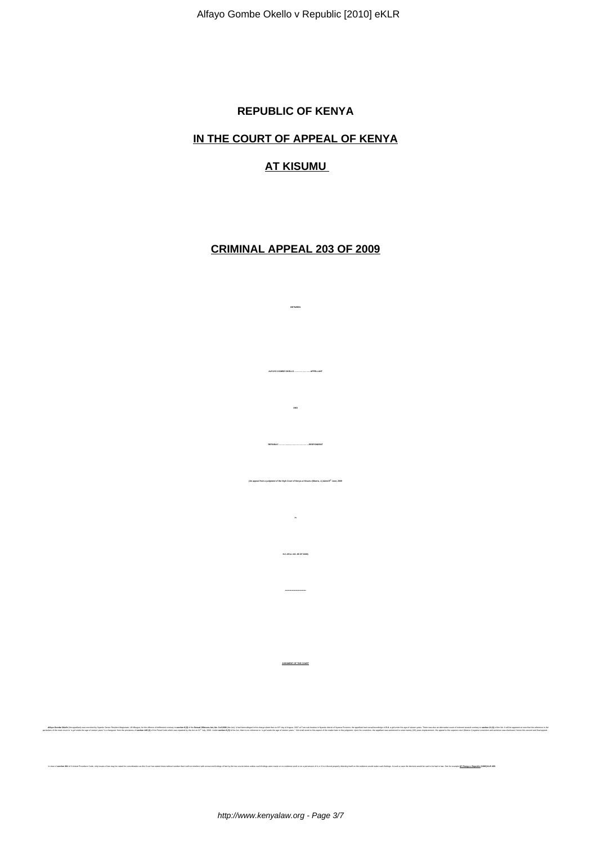### **REPUBLIC OF KENYA**

# **IN THE COURT OF APPEAL OF KENYA**

### **AT KISUMU**

## **CRIMINAL APPEAL 203 OF 2009**

**BETWEEN**

**ALFAYO GOMBE OKELLO ……………………APPELLANT**

**AND**

**REPUBLIC …………......……………………….RESPONDENT**

**in**

**H.C.CR.A. NO. 85 OF 2008)**

**JUDGMENT OF THE COURT**

and the company of the company of the company of the company of the company of the company of the company of the company of the company of the company of the company of the company of the company of the company of the comp

**(An appeal from a judgment of the High Court of Kenya at Kisumu (Mwera, J.) dated 8th June, 2009**

In view of accelere 361 of Criminal Procedure Code, only issues of tex may be relead to: consideration as this Court has similated treas under that it will not interfere with concurrent findings of tact by the text conside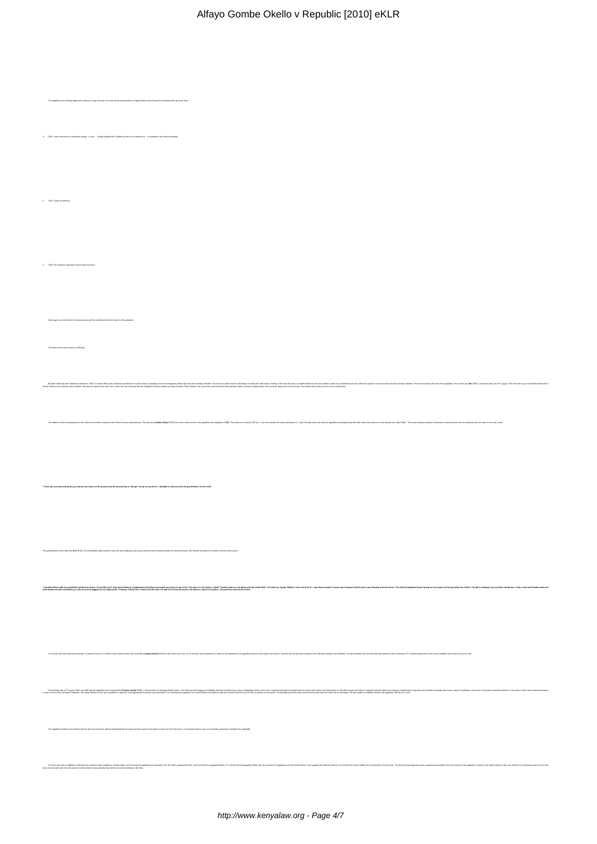| The appellant has all along appeared in person to urge his case. He drew up the memorandum of appeal which puts forward the following three grounds, thus:                                                                     |
|--------------------------------------------------------------------------------------------------------------------------------------------------------------------------------------------------------------------------------|
|                                                                                                                                                                                                                                |
| "f. 7HAT I was convicted on a defective charge - it was initially alleged that I defiled an idot or an indecibe as it recorded in the trial proceedings;                                                                       |
| $2. \hspace{20pt} 716AT\; I\; \text{pray for having any} \; .$                                                                                                                                                                 |
|                                                                                                                                                                                                                                |
| $2-71647$ the sentence imposed is harsh and excessive."                                                                                                                                                                        |
|                                                                                                                                                                                                                                |
| Once again, we shall revert to those grounds and the submissions thereon later in this judgment.                                                                                                                               |
| The facts of the case present no difficulty.                                                                                                                                                                                   |
| Shade the main of the state of the main of the state of the state of the state of the state of the state of the state of the state of the state of the state of the state of the state of the state of the state of the state  |
| The details of what had happened to the child in her moder's absence were filed in by non appellent associal particular content in the two man absorber and the popularis and individual of the popularis and additional absoc |
|                                                                                                                                                                                                                                |
| " then saw accused seizing the girl and put her down on the ground and the accused lay on the girl. He lay on top of her. I decided to rush and call the grandmother of the child."                                            |
|                                                                                                                                                                                                                                |
| The grandmother of the child was WO (PW2). W immediately called another man who was waking by her house and they both headed towards the deserted house. We shall let W speak for herself on arrival at the scene:             |
| *iyoning and a galan tariful tariful tariful tariful tariful tariful tariful tariful tariful tariful tariful tariful tariful tariful tariful tariful tariful tariful tariful tariful tariful tariful tariful tariful tariful t |
|                                                                                                                                                                                                                                |
| It is W who soult the studi from and later, at accord 6.40 p.m. to Abore Police Station where the found PE. Lecenced Minichel (PNH). After about contract as applicit armount of the additiones the defenent, the applicat arr |
| he who are allowed the compart of the compart of the compart of the compart of the compart of the compart of the compart of the compart of the compart of the compart of the compart of the compart of the compart of the comp |
| The appellant insisted in his delence that he did not commit the offence explaining that he would not have gone to the police on his own if he had done it. He asserted that he was not medically examined to establish his cu |
|                                                                                                                                                                                                                                |

The main of the companion of the main of the state of the state of the state of the state of the state of the state of the state of the state of the state of the state of the state of the state of the state of the state of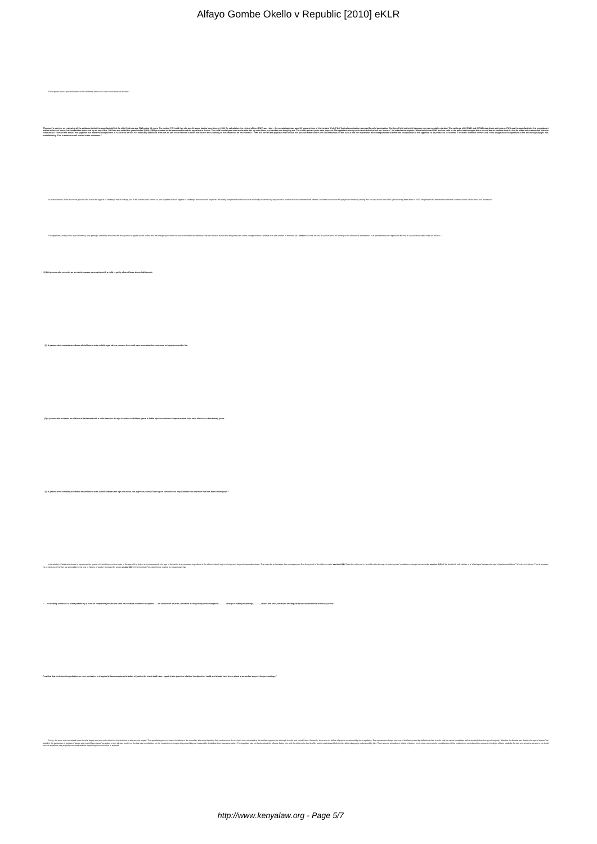| Alfayo Gombe Okello v Republic [2010] eKLR |  |  |  |
|--------------------------------------------|--|--|--|
|--------------------------------------------|--|--|--|

The superior court upon evaluation of the evidence came to its own conclusion "**The court's opinion, on reviewing all the evidence is that the appellant defiled the child S whose age PW5 put at 15 years. The mother PW1 said that she was 14 years having been born in 1992. By calculation the clinical officer (PW5) was right – the complainant was aged 15 years at time of the incident (Exh. P1). Physical examination revealed forceful penetration. She herself did not testify because she was mentally retarded. The evidence of O (PW2) and A(PW3) was direct and cogent. PW3 saw the appellant take the complainant behind a disused house; he knocked her down and lay on top of her. PW3 ran and called her grandmother (PW2). PW2 proceeded to the scene and found the appellant in the act. The child's under pant was on the side. His zip was down; his member was dangling out. The child's private parts were exposed. The appellant rose up and claimed that he had not "done it". He asked to be forgiven. When he followed PW2 and the child to the police station again there he said that he had not done it. And he asked to be reconciled with the complainant. From all the above, the appellant did defile the complainant. It is not true he was not medically examined. PW5 did so and filled P3 form in court. He did not find anything to the effect that he had "done it." PW5 did not tell the appellant that he was HIV positive either and in the circumstances of this case it did not matter that the undergarments of either the complainant or the appellant to be produced as exhibits. The direct evidence of PW2 and 3 who caught/saw the appellant in the act during daylight was overwhelming. This is someone well known to the witnesses."**  As stated earlier, there are three grounds laid out in this speed to challenge those finding, but in his submissions below as the appellant did not seppear to challenge the conviction anymore. He briefly anymore from the b The appelant, owing to his level of literacy, was perhaps unable to articulate the first ground of appeal which states that the charge upon which he was convided was defective. We did observe earlier that the particulars o **"8 (1) A person who commits an act which causes penetration with a child is guilty of an offence termed defilement. (2) A person who commits an offence of defilement with a child aged eleven years or less shall upon conviction be sentenced to imprisonment for life.** ,<br>When a *chare of defineme* with a child between the age of twelve and fifteen years is liable upon conviction to imprisonment for a term of not less than twenty years. who commits an offence of defilement with a child between the age of sixteen and eighteen years. Is liable upon conviction to imprisonment for a term of not less than fifteen years. his interm and the statement of the computer of the computer of the distribution of the computer of the computer of the computer of the computer of the computer of the computer of the computer of the computer of the comput .<br>peal..... on account of an error, omission or irregularity in the complaint..........charge or other proceedings..........unless the error, omission or irreg whether an error, omission or irregularity has occasioned a failure of justice the court shall have regard to the question whether the objection could and should have been raised at an earlier stage in the Firstly, the issue was not raised since the trial began and was only raised for the first time in this second appeal. The appellant gave no reason for failure to do so earlier. We must therefore find, and we now do so, that it was not raised at the earliest opportunity although it could and should have. Secondly, there was no failure of justice occasioned by the irregularity. The substantive charge was one of defilement and by definition in law it could only be carnal knowledge with a female below the age of majority. Whether the female was "below the age of sixteen" as stated in the particulars or between "twelve years and fifteen years" as stated in the relevant section of the law has no reflection on the conviction so long as it is proved beyond reasonable doubt that there was penetration. The appellant had no illusion about the offence facing him and the defence he had to offer and he participated fully in the trial in a language understood by him. There was no prejudice or failure of justice. In our view, upon careful consideration of the evidence on record and the concurrent findings of facts made by the two courts below, we are in no doubt that the appellant was properly convicted and the appeal against conviction is rejected.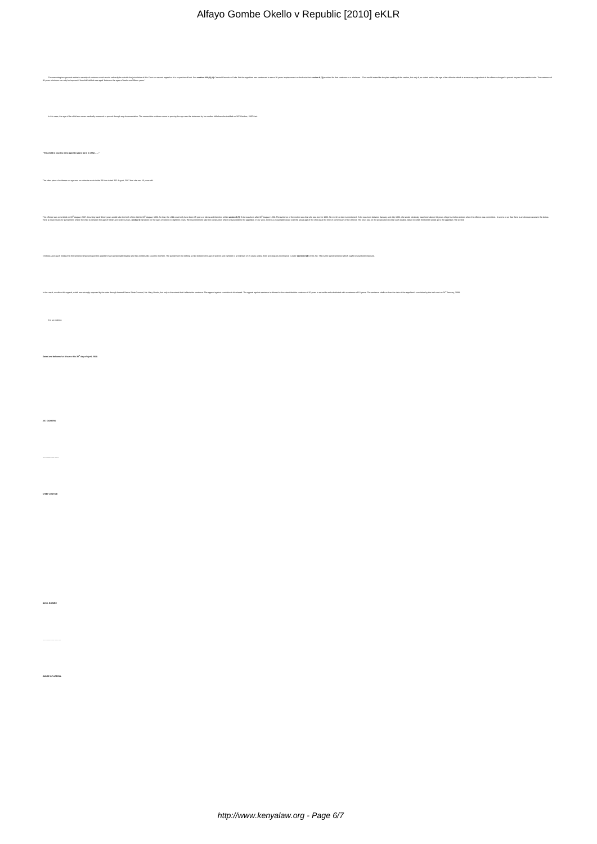| The main of the state and the state of the state in the state of the state of the state of the state of the state of the state of the state of the state of the state of the state of the state of the state of the state of t           |  |
|------------------------------------------------------------------------------------------------------------------------------------------------------------------------------------------------------------------------------------------|--|
|                                                                                                                                                                                                                                          |  |
| In this case, the age of the child was never medically assessed or proved through any documentation. The nearest the evidence came to proving the age was the statement by her mother Mivehen she testilled on 16 <sup>th</sup> October, |  |
|                                                                                                                                                                                                                                          |  |
| "This child in court is mine aged 14 years born in 1992"                                                                                                                                                                                 |  |
|                                                                                                                                                                                                                                          |  |
| The other piece of evidence on age was an estimate made in the P3 form dated 20 <sup>th</sup> August, 2007 that she was 15 years old.                                                                                                    |  |
| hebes and man and the second man and the man in the second man and the second man in the second of the second man in the second of the second man in the second of the second in the second in the second in the second in the           |  |
|                                                                                                                                                                                                                                          |  |
| It follows upon such finding that the anniurca imposed upon the appellant had guationable legality and thus entities this Count to initiative. The purisinens for deliling a child between the age of ablows and eighteen is a           |  |
|                                                                                                                                                                                                                                          |  |
| In the result, we allow this appeal, which was strongly ground by the state foungh lamed Serior State Counsel, Mk. Mary Curcily, to at only to the extent that it affects the access that the net that it affects the accessor           |  |
|                                                                                                                                                                                                                                          |  |
| It is so ordered.                                                                                                                                                                                                                        |  |
|                                                                                                                                                                                                                                          |  |
| Dated and delivered at Kisumu this 20 <sup>th</sup> day of April, 2010.                                                                                                                                                                  |  |
|                                                                                                                                                                                                                                          |  |
|                                                                                                                                                                                                                                          |  |
| J.E. GIOVERU                                                                                                                                                                                                                             |  |
|                                                                                                                                                                                                                                          |  |
|                                                                                                                                                                                                                                          |  |
|                                                                                                                                                                                                                                          |  |
| ONEF JUSTICE                                                                                                                                                                                                                             |  |
|                                                                                                                                                                                                                                          |  |
|                                                                                                                                                                                                                                          |  |
|                                                                                                                                                                                                                                          |  |
|                                                                                                                                                                                                                                          |  |
|                                                                                                                                                                                                                                          |  |
| S.E.O. BOSIRE                                                                                                                                                                                                                            |  |
|                                                                                                                                                                                                                                          |  |
|                                                                                                                                                                                                                                          |  |
| ${\tt JUDGE}$ OF APPEAL                                                                                                                                                                                                                  |  |
|                                                                                                                                                                                                                                          |  |
|                                                                                                                                                                                                                                          |  |
|                                                                                                                                                                                                                                          |  |
|                                                                                                                                                                                                                                          |  |
|                                                                                                                                                                                                                                          |  |

Alfayo Gombe Okello v Republic [2010] eKLR